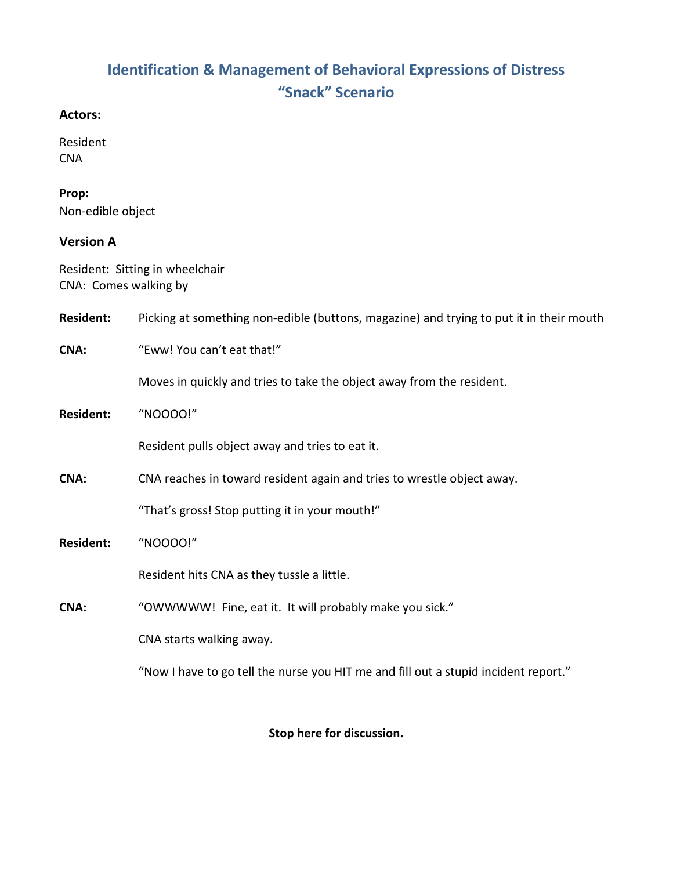# **Identification & Management of Behavioral Expressions of Distress "Snack" Scenario**

#### **Actors:**

Resident **CNA** 

# **Prop:**

Non-edible object

## **Version A**

Resident: Sitting in wheelchair CNA: Comes walking by

| <b>Resident:</b> | Picking at something non-edible (buttons, magazine) and trying to put it in their mouth |
|------------------|-----------------------------------------------------------------------------------------|
| <b>CNA:</b>      | "Eww! You can't eat that!"                                                              |
|                  | Moves in quickly and tries to take the object away from the resident.                   |
| <b>Resident:</b> | "NOOOO!"                                                                                |
|                  | Resident pulls object away and tries to eat it.                                         |
| CNA:             | CNA reaches in toward resident again and tries to wrestle object away.                  |
|                  | "That's gross! Stop putting it in your mouth!"                                          |
| <b>Resident:</b> | "NOOOO!"                                                                                |
|                  | Resident hits CNA as they tussle a little.                                              |
| CNA:             | "OWWWWW! Fine, eat it. It will probably make you sick."                                 |
|                  | CNA starts walking away.                                                                |
|                  | "Now I have to go tell the nurse you HIT me and fill out a stupid incident report."     |

**Stop here for discussion.**